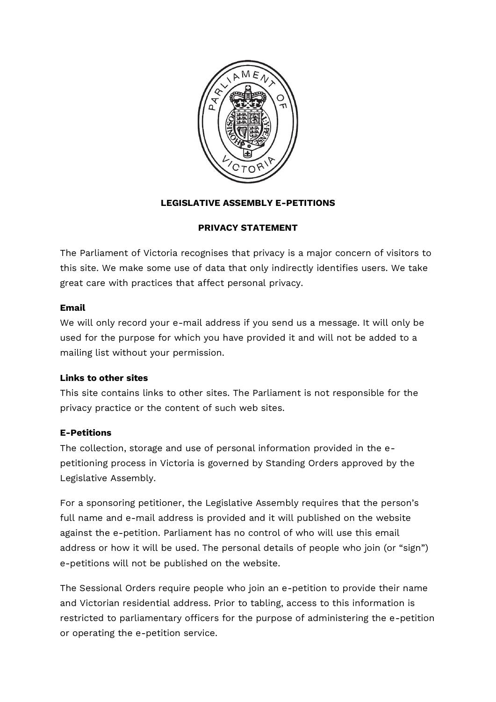

# **LEGISLATIVE ASSEMBLY E-PETITIONS**

## **PRIVACY STATEMENT**

The Parliament of Victoria recognises that privacy is a major concern of visitors to this site. We make some use of data that only indirectly identifies users. We take great care with practices that affect personal privacy.

## **Email**

We will only record your e-mail address if you send us a message. It will only be used for the purpose for which you have provided it and will not be added to a mailing list without your permission.

## **Links to other sites**

This site contains links to other sites. The Parliament is not responsible for the privacy practice or the content of such web sites.

## **E-Petitions**

The collection, storage and use of personal information provided in the epetitioning process in Victoria is governed by Standing Orders approved by the Legislative Assembly.

For a sponsoring petitioner, the Legislative Assembly requires that the person's full name and e-mail address is provided and it will published on the website against the e-petition. Parliament has no control of who will use this email address or how it will be used. The personal details of people who join (or "sign") e-petitions will not be published on the website.

The Sessional Orders require people who join an e-petition to provide their name and Victorian residential address. Prior to tabling, access to this information is restricted to parliamentary officers for the purpose of administering the e-petition or operating the e-petition service.